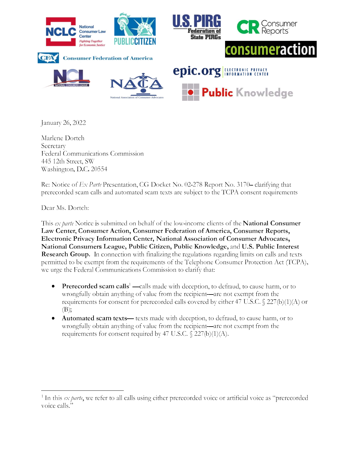

January 26, 2022

Marlene Dortch Secretary Federal Communications Commission 445 12th Street, SW Washington, D.C. 20554

Re: Notice of Ex Parte Presentation, CG Docket No. 02-278 Report No. 3170– clarifying that prerecorded scam calls and automated scam texts are subject to the TCPA consent requirements

Dear Ms. Dortch:

This ex parte Notice is submitted on behalf of the low-income clients of the **National Consumer** Law Center, Consumer Action, Consumer Federation of America, Consumer Reports, Electronic Privacy Information Center, National Association of Consumer Advocates, National Consumers League, Public Citizen, Public Knowledge, and U.S. Public Interest **Research Group.** In connection with finalizing the regulations regarding limits on calls and texts permitted to be exempt from the requirements of the Telephone Consumer Protection Act (TCPA), we urge the Federal Communications Commission to clarify that:

- **Prerecorded scam calls<sup>1</sup>**—calls made with deception, to defraud, to cause harm, or to wrongfully obtain anything of value from the recipient—are not exempt from the requirements for consent for prerecorded calls covered by either 47 U.S.C.  $\$ 227(b)(1)(A)$  or  $(B);$
- Automated scam texts-texts made with deception, to defraud, to cause harm, or to wrongfully obtain anything of value from the recipient-are not exempt from the requirements for consent required by 47 U.S.C.  $\frac{227(b)(1)(A)}{A}$ .

<sup>&</sup>lt;sup>1</sup> In this ex parte, we refer to all calls using either prerecorded voice or artificial voice as "prerecorded voice calls.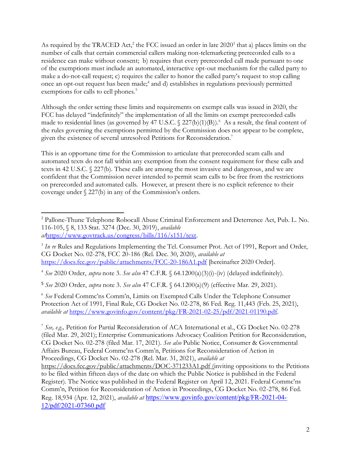As required by the TRACED Act, $^2$  the FCC issued an order in late 2020 $^3$  that a) places limits on the number of calls that certain commercial callers making non-telemarketing prerecorded calls to a residence can make without consent; b) requires that every prerecorded call made pursuant to one of the exemptions must include an automated, interactive opt-out mechanism for the called party to make a do-not-call request; c) requires the caller to honor the called party's request to stop calling once an opt-out request has been made;<sup>4</sup> and d) establishes in regulations previously permitted exemptions for calls to cell phones.<sup>5</sup>

Although the order setting these limits and requirements on exempt calls was issued in 2020, the FCC has delayed "indefinitely" the implementation of all the limits on exempt prerecorded calls made to residential lines (as governed by 47 U.S.C.  $\frac{227(b)(1)(B)}{6}$  As a result, the final content of the rules governing the exemptions permitted by the Commission does not appear to be complete, given the existence of several unresolved Petitions for Reconsideration.<sup>7</sup>

This is an opportune time for the Commission to articulate that prerecorded scam calls and automated texts do not fall within any exemption from the consent requirement for these calls and texts in 42 U.S.C. § 227(b). These calls are among the most invasive and dangerous, and we are confident that the Commission never intended to permit scam calls to be free from the restrictions on prerecorded and automated calls. However, at present there is no explicit reference to their coverage under  $\S$  227(b) in any of the Commission's orders.

<sup>4</sup> See 2020 Order, supra note 3. See also 47 C.F.R. § 64.1200(a)(3)(i)-(iv) (delayed indefinitely).

<sup>5</sup> See 2020 Order, *supra* note 3. See also 47 C.F.R. § 64.1200(a)(9) (effective Mar. 29, 2021).

 $6$  See Federal Commc'ns Comm'n, Limits on Exempted Calls Under the Telephone Consumer Protection Act of 1991, Final Rule, CG Docket No. 02-278, 86 Fed. Reg. 11,443 (Feb. 25, 2021), available at https://www.govinfo.gov/content/pkg/FR-2021-02-25/pdf/2021-01190.pdf.

 $^2$  Pallone-Thune Telephone Robocall Abuse Criminal Enforcement and Deterrence Act, Pub. L. No. 116-105, § 8, 133 Stat. 3274 (Dec. 30, 2019), available athttps://www.govtrack.us/congress/bills/116/s151/text.

 $3$  In re Rules and Regulations Implementing the Tel. Consumer Prot. Act of 1991, Report and Order, CG Docket No. 02-278, FCC 20-186 (Rel. Dec. 30, 2020), available at https://docs.fcc.gov/public/attachments/FCC-20-186A1.pdf [hereinafter 2020 Order].

<sup>&</sup>lt;sup>7</sup> See, e.g., Petition for Partial Reconsideration of ACA International et al., CG Docket No. 02-278 (filed Mar. 29, 2021); Enterprise Communications Advocacy Coalition Petition for Reconsideration, CG Docket No. 02-278 (filed Mar. 17, 2021). See also Public Notice, Consumer & Governmental Affairs Bureau, Federal Commc'ns Comm'n, Petitions for Reconsideration of Action in Proceedings, CG Docket No. 02-278 (Rel. Mar. 31, 2021), available at

https://docs.fcc.gov/public/attachments/DOC-371233A1.pdf (inviting oppositions to the Petitions to be filed within fifteen days of the date on which the Public Notice is published in the Federal Register). The Notice was published in the Federal Register on April 12, 2021. Federal Commc'ns Comm'n, Petition for Reconsideration of Action in Proceedings, CG Docket No. 02-278, 86 Fed. Reg. 18,934 (Apr. 12, 2021), available at https://www.govinfo.gov/content/pkg/FR-2021-04- 12/pdf/2021-07360.pdf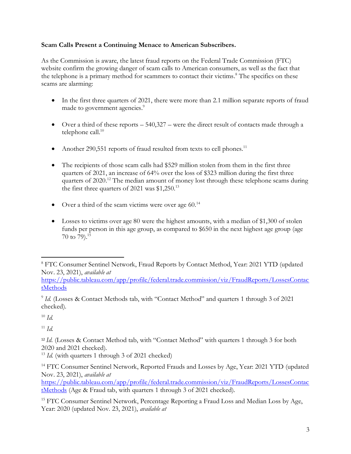## Scam Calls Present a Continuing Menace to American Subscribers.

As the Commission is aware, the latest fraud reports on the Federal Trade Commission (FTC) website confirm the growing danger of scam calls to American consumers, as well as the fact that the telephone is a primary method for scammers to contact their victims.<sup>8</sup> The specifics on these scams are alarming:

- In the first three quarters of 2021, there were more than 2.1 million separate reports of fraud made to government agencies.<sup>9</sup>
- $\bullet$  Over a third of these reports  $-540,327$  were the direct result of contacts made through a telephone call.<sup>10</sup>
- Another 290,551 reports of fraud resulted from texts to cell phones.<sup>11</sup>
- The recipients of those scam calls had \$529 million stolen from them in the first three quarters of 2021, an increase of 64% over the loss of \$323 million during the first three quarters of  $2020$ <sup>12</sup> The median amount of money lost through these telephone scams during the first three quarters of 2021 was  $$1,250.<sup>13</sup>$
- $\bullet$  Over a third of the scam victims were over age 60.<sup>14</sup>
- Losses to victims over age 80 were the highest amounts, with a median of \$1,300 of stolen funds per person in this age group, as compared to \$650 in the next highest age group (age  $70$  to  $79)$ .<sup>15</sup>

https://public.tableau.com/app/profile/federal.trade.commission/viz/FraudReports/LossesContac tMethods

 $10 \text{ }\mathrm{Id}$ 

 $11 \; Id.$ 

<sup>12</sup> Id. (Losses & Contact Method tab, with "Contact Method" with quarters 1 through 3 for both 2020 and 2021 checked).

https://public.tableau.com/app/profile/federal.trade.commission/viz/FraudReports/LossesContac tMethods (Age & Fraud tab, with quarters 1 through 3 of 2021 checked).

<sup>15</sup> FTC Consumer Sentinel Network, Percentage Reporting a Fraud Loss and Median Loss by Age, Year: 2020 (updated Nov. 23, 2021), available at

<sup>&</sup>lt;sup>8</sup> FTC Consumer Sentinel Network, Fraud Reports by Contact Method, Year: 2021 YTD (updated Nov. 23, 2021), available at

 $^9$  Id. (Losses & Contact Methods tab, with "Contact Method" and quarters 1 through 3 of 2021 checked).

 $13$  *Id.* (with quarters 1 through 3 of 2021 checked)

<sup>&</sup>lt;sup>14</sup> FTC Consumer Sentinel Network, Reported Frauds and Losses by Age, Year: 2021 YTD (updated Nov. 23, 2021), available at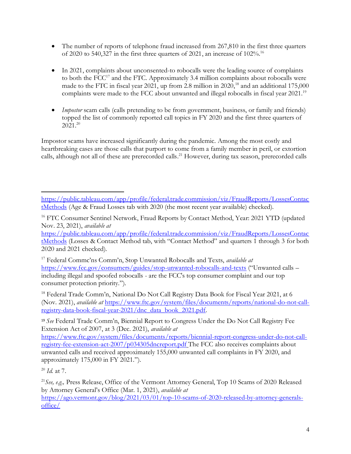- The number of reports of telephone fraud increased from 267,810 in the first three quarters of 2020 to 540,327 in the first three quarters of 2021, an increase of  $102\%$ .<sup>16</sup>
- In 2021, complaints about unconsented-to robocalls were the leading source of complaints to both the  $FCC^{17}$  and the FTC. Approximately 3.4 million complaints about robocalls were made to the FTC in fiscal year 2021, up from 2.8 million in  $2020$ ,<sup>18</sup> and an additional 175,000 complaints were made to the FCC about unwanted and illegal robocalls in fiscal year 2021.<sup>19</sup>
- Impostor scam calls (calls pretending to be from government, business, or family and friends) topped the list of commonly reported call topics in FY 2020 and the first three quarters of  $2021.<sup>20</sup>$

Impostor scams have increased significantly during the pandemic. Among the most costly and heartbreaking cases are those calls that purport to come from a family member in peril, or extortion calls, although not all of these are prerecorded calls.<sup>21</sup> However, during tax season, prerecorded calls

<sup>18</sup> Federal Trade Comm'n, National Do Not Call Registry Data Book for Fiscal Year 2021, at 6 (Nov. 2021), available at https://www.ftc.gov/system/files/documents/reports/national-do-not-callregistry-data-book-fiscal-year-2021/dnc\_data\_book\_2021.pdf.

<sup>19</sup> See Federal Trade Comm'n, Biennial Report to Congress Under the Do Not Call Registry Fee Extension Act of 2007, at 3 (Dec. 2021), available at

https://www.ftc.gov/system/files/documents/reports/biennial-report-congress-under-do-not-callregistry-fee-extension-act-2007/p034305dncreport.pdf The FCC also receives complaints about unwanted calls and received approximately 155,000 unwanted call complaints in FY 2020, and approximately 175,000 in FY 2021.").

 $^{20}$  *Id.* at 7.

<sup>21</sup> See, e.g., Press Release, Office of the Vermont Attorney General, Top 10 Scams of 2020 Released by Attorney General's Office (Mar. 1, 2021), available at https://ago.vermont.gov/blog/2021/03/01/top-10-scams-of-2020-released-by-attorney-generalsoffice/

https://public.tableau.com/app/profile/federal.trade.commission/viz/FraudReports/LossesContac tMethods (Age & Fraud Losses tab with 2020 (the most recent year available) checked).

<sup>&</sup>lt;sup>16</sup> FTC Consumer Sentinel Network, Fraud Reports by Contact Method, Year: 2021 YTD (updated Nov. 23, 2021), available at

https://public.tableau.com/app/profile/federal.trade.commission/viz/FraudReports/LossesContac tMethods (Losses & Contact Method tab, with "Contact Method" and quarters 1 through 3 for both 2020 and 2021 checked).

<sup>&</sup>lt;sup>17</sup> Federal Commc'ns Comm'n, Stop Unwanted Robocalls and Texts, available at https://www.fcc.gov/consumers/guides/stop-unwanted-robocalls-and-texts ("Unwanted calls including illegal and spoofed robocalls - are the FCC's top consumer complaint and our top consumer protection priority.").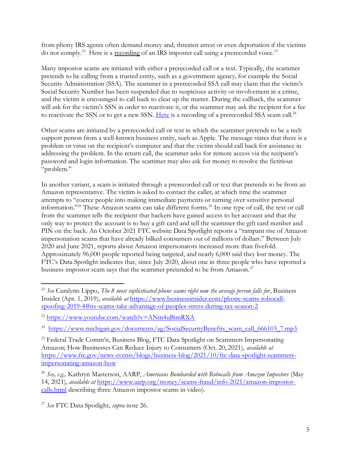from phony IRS agents often demand money and, threaten arrest or even deportation if the victims do not comply.<sup>22</sup> Here is a recording of an IRS imposter call using a prerecorded voice.<sup>23</sup>

Many impostor scams are initiated with either a prerecorded call or a text. Typically, the scammer pretends to be calling from a trusted entity, such as a government agency, for example the Social Security Administration (SSA). The scammer in a prerecorded SSA call may claim that the victim's Social Security Number has been suspended due to suspicious activity or involvement in a crime, and the victim is encouraged to call back to clear up the matter. During the callback, the scammer will ask for the victim's SSN in order to reactivate it, or the scammer may ask the recipient for a fee to reactivate the SSN or to get a new SSN. Here is a recording of a prerecorded SSA scam call.<sup>24</sup>

Other scams are initiated by a prerecorded call or text in which the scammer pretends to be a tech support person from a well-known business entity, such as Apple. The message states that there is a problem or virus on the recipient's computer and that the victim should call back for assistance in addressing the problem. In the return call, the scammer asks for remote access via the recipient's password and login information. The scammer may also ask for money to resolve the fictitious "problem."

In another variant, a scam is initiated through a prerecorded call or text that pretends to be from an Amazon representative. The victim is asked to contact the caller, at which time the scammer attempts to "coerce people into making immediate payments or turning over sensitive personal information."<sup>25</sup> These Amazon scams can take different forms.<sup>26</sup> In one type of call, the text or call from the scammer tells the recipient that hackers have gained access to her account and that the only way to protect the account is to buy a gift card and tell the scammer the gift card number and PIN on the back. An October 2021 FTC website Data Spotlight reports a "rampant rise of Amazon impersonation scams that have already bilked consumers out of millions of dollars." Between July 2020 and June 2021, reports about Amazon impersonators increased more than fivefold. Approximately 96,000 people reported being targeted, and nearly 6,000 said they lost money. The FTC's Data Spotlight indicates that, since July 2020, about one in three people who have reported a business impostor scam says that the scammer pretended to be from Amazon. $^{27}$ 

<sup>&</sup>lt;sup>22</sup> See Caralynn Lippo, The 8 most sophisticated phone scams right now the average person falls for, Business Insider (Apr. 1, 2019), available at https://www.businessinsider.com/phone-scams-robocallspoofing-2019-4#irs-scams-take-advantage-of-peoples-stress-during-tax-season-2

<sup>23</sup> https://www.youtube.com/watch?v=ANm4uBimRXA

<sup>&</sup>lt;sup>24</sup> https://www.michigan.gov/documents/ag/SocialSecurityBenefits scam\_call\_666103\_7.mp3

<sup>&</sup>lt;sup>25</sup> Federal Trade Comm'n, Business Blog, FTC Data Spotlight on Scammers Impersonating Amazon; How Businesses Can Reduce Injury to Consumers (Oct. 20, 2021), available at https://www.ftc.gov/news-events/blogs/business-blog/2021/10/ftc-data-spotlight-scammersimpersonating-amazon-how

<sup>&</sup>lt;sup>26</sup> See, e.g., Kathryn Masterson, AARP, Americans Bombarded with Robocalls from Amazon Impostors (May 14, 2021), available at https://www.aarp.org/money/scams-fraud/info-2021/amazon-impostorcalls.html describing three Amazon impostor scams in video).

<sup>&</sup>lt;sup>27</sup> See FTC Data Spotlight, supra note 26.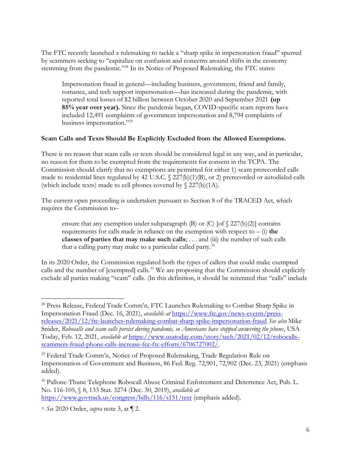The FTC recently launched a rulemaking to tackle a "sharp spike in impersonation fraud" spurred by scammers seeking to "capitalize on confusion and concerns around shifts in the economy stemming from the pandemic."<sup>28</sup> In its Notice of Proposed Rulemaking, the FTC states:

Impersonation fraud in general—including business, government, friend and family, romance, and tech support impersonation—has increased during the pandemic, with reported total losses of \$2 billion between October 2020 and September 2021 (up 85% year over year). Since the pandemic began, COVID-specific scam reports have included 12,491 complaints of government impersonation and 8,794 complaints of business impersonation."<sup>29</sup>

## Scam Calls and Texts Should Be Explicitly Excluded from the Allowed Exemptions.

There is no reason that scam calls or texts should be considered legal in any way, and in particular, no reason for them to be exempted from the requirements for consent in the TCPA. The Commission should clarify that no exemptions are permitted for either 1) scam prerecorded calls made to residential lines regulated by 42 U.S.C.  $\frac{227(b)(1)(B)}{2}$ , or 2) prerecorded or autodialed calls (which include texts) made to cell phones covered by  $\S$  227(b)(1A).

The current open proceeding is undertaken pursuant to Section 8 of the TRACED Act, which requires the Commission to

ensure that any exemption under subparagraph (B) or (C) [of  $\sqrt{227(b)(2)}$ ] contains requirements for calls made in reliance on the exemption with respect to  $-$  (i) the classes of parties that may make such calls; . . . and (iii) the number of such calls that a calling party may make to a particular called party. $30$ 

In its 2020 Order, the Commission regulated both the types of callers that could make exempted calls and the number of [exempted] calls.<sup>31</sup> We are proposing that the Commission should explicitly exclude all parties making "scam" calls. (In this definition, it should be reiterated that "calls" include

<sup>&</sup>lt;sup>28</sup> Press Release, Federal Trade Comm'n, FTC Launches Rulemaking to Combat Sharp Spike in Impersonation Fraud (Dec. 16, 2021), available at https://www.ftc.gov/news-events/pressreleases/2021/12/ftc-launches-rulemaking-combat-sharp-spike-impersonation-fraud See also Mike Snider, Robocalls and scam calls persist during pandemic, so Americans have stopped answering the phone, USA Today, Feb. 12, 2021, available at https://www.usatoday.com/story/tech/2021/02/12/robocallsscammers-fraud-phone-calls-increase-fcc-ftc-efforts/6706727002/.

<sup>&</sup>lt;sup>29</sup> Federal Trade Comm'n, Notice of Proposed Rulemaking, Trade Regulation Rule on Impersonation of Government and Business, 86 Fed. Reg. 72,901, 72,902 (Dec. 23, 2021) (emphasis added).

<sup>&</sup>lt;sup>30</sup> Pallone-Thune Telephone Robocall Abuse Criminal Enforcement and Deterrence Act, Pub. L. No. 116-105, § 8, 133 Stat. 3274 (Dec. 30, 2019), available at https://www.govtrack.us/congress/bills/116/s151/text (emphasis added).

<sup>&</sup>lt;sup>31</sup> See 2020 Order, *supra* note 3, at  $\P$  2.